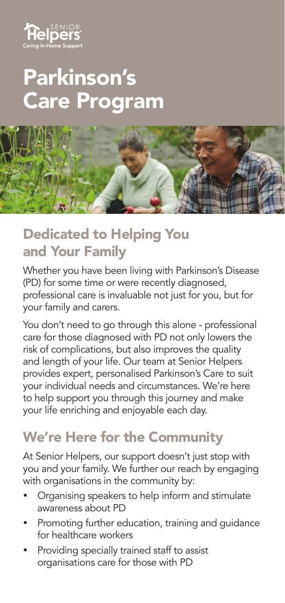

## Parkinson's Care Program



## Dedicated to Helping You and Your Family

Whether you have been living with Parkinson's Disease (PD) for some time or were recently diagnosed, professional care is invaluable not just for you, but for your family and carers.

You don't need to go through this alone - professional care for those diagnosed with PD not only lowers the risk of complications, but also improves the quality and length of your life. Our team at Senior Helpers provides expert, personalised Parkinson's Care to suit your individual needs and circumstances. We're here to help support you through this journey and make your life enriching and enjoyable each day.

## We're Here for the Community

At Senior Helpers, our support doesn't just stop with you and your family. We further our reach by engaging with organisations in the community by:

- Organising speakers to help inform and stimulate awareness about PD
- Promoting further education, training and guidance for healthcare workers
- Providing specially trained staff to assist organisations care for those with PD